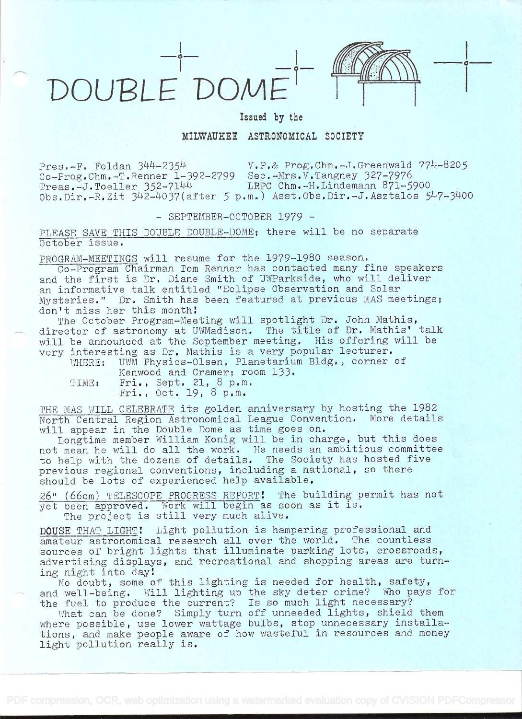

 $\circ$  —

Issued by the

## MILWAUKEE ASTRONOMICAL SOCIETY

Pres.-F. Foldan 344-2354 V.P.& Prog.Chm.-J.Greenwald 774-8205  $Co-Program -T.Renner \tilde{1}-392-2799$  Sec. $Mrs.V. Tangney 327-7976$ <br>Treas. $-J.Toeller 352-7144$  LRPC Chm. $-H.Lindemann 871-5900$  $Treas.-J.Toeller 352-7144$  $Obs.Dir.-R.Zit$   $342-4037(after 5 p.m.)$  Asst.0bs.Dir.-J.Asztalos  $547-3400$ 

## - SEPTEMBER-OCTOBER 1979 -

PLEASE SAVE THIS DOUBLE DOUBLE-DOME; there will be no separate October issue.

PROGRAM-MEETINGS will resume for the 1979-1980 season.

Co-Program Chairman Tom Renner has contacted many fine speakers and the first is Dr. Diane Smith of UWParkside, who will deliver an informative talk entitled "Eclipse Observation and Solar Mysteries." Dr. Smith has been featured at previous MAS meetings; don't miss her this month!<br>The October Program-Meeting will spotlight Dr. John Mathis,

The October Program-Meeting will spotlight Dr, John Mathis, director of astronomy at UwMadison. The title of Dr. Mathis' talk will be announced at the September meeting. His offering will be very interesting as Dr. Mathis is a very popular lecturer.<br>WHERE: UWM Physics-Olsen, Planetarium Bldg., corner

UWM Physics-Olsen, Planetarium Bldg., corner of Kenwood and Cramer; room 133.

TIME: Fri., Sept. 21, 8 p.m.<br>Fri., Oct. 19, 8 p.m.

THE MAS WILL CELEBRATE its golden anniversary by hosting the 1982 North Central Region Astronomical League Convention. More details will appear in the Double Dome as time goes on.

Longtime member William Konig will be in charge, but this does not mean he will do all the work, He needs an ambitious committee to help with the dozens of details. The Society has hosted five previous regional conventions, including a national, so there should be lots of experienced help available.

26" (66cm) TELESCOPE PROGRESS REPORT! The building permit has not yet been approved. Work will begin as soon as it is.

The project is still very much alive.

DOUSE THAT LIGHT! Light pollution is hampering professional and amateur astronomical research all over the world. The countless sources of bright lights that illuminate parking lots, crossroads, advertising displays, and recreational and shopping areas are turning night into day

No doubt, some of this lighting is needed for health, safety, and well-being. Will lighting up the sky deter crime? Who pays for and well-being. Will lighting up the sky deter crime: who pays is

Their to produce the current: IS so much light hecessary:<br>What can be done? Simply turn off unneeded lights, shield them where possible, use lower wattage bulbs, stop unnecessary installations, and make people aware of how wasteful in resources and money light pollution really is.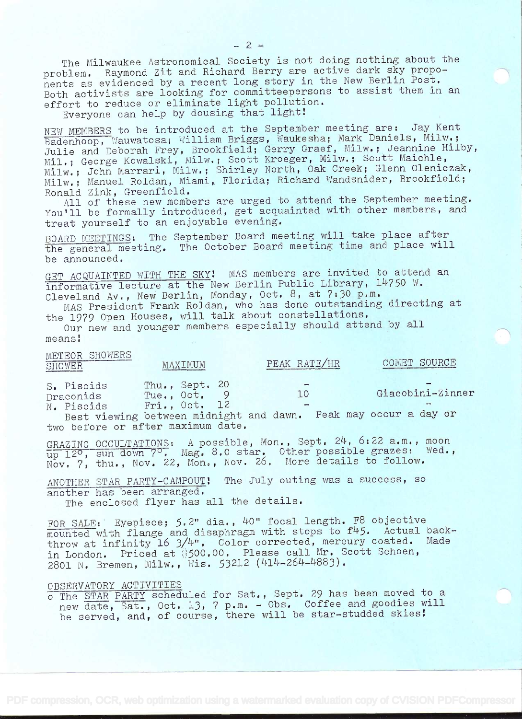The Milwaukee Astronomical Society is not doing nothing about the problem. Raymond Zit and Richard Berry are active dark sky proponents as evidenced by a recent long story in the New Berlin Post. Both activists are looking for committeepersons to assist them in an effort to reduce or eliminate light pollution.

Everyone can help by dousing that light!

NEW MEMBERS to be introduced at the September meeting are: Jay Kent Badenhoop, Wauwatosa; William Briggs, Waukesha; Mark Daniels, Milw.; Badennoop, Wadwatosa; William Briggs, Wadnoona, Marn Bankeer, Milw.;<br>Julie and Deborah Frey, Brookfield; Gerry Graef, Milw.; Jeannine Hilby, Julie and Deboran Frey, Brookineid, Gorry Grach, Milw. Scott Maichle, Milw.; John Marran, Milw.; Shirley North, Oak Creek; Glenn Oleniczak, Milw.; Manuel Roldan, Miami, Florida; Richard Wandsnider, Brookfield; Ronald Zink, Greenfield.

All of these new members are urged to attend the September meeting. You'll be formally introduced, get acquainted with other members, and treat yourself to an enjoyable evening.

BOARD MEETINGS: The September Board meeting will take place after the general meeting. The October Board meeting time and place will be announced.

GET ACQUAINTED WITH THE SKY! MAS members are invited to attend an informative lecture at the New Berlin Public Library, 14750 W. Cleveland Av., New Berlin, Monday, Oct. 8, at 7:30 p.m.

MAS President Frank Roldan, who has done outstanding directing at the 1979 Open Houses, will talk about constellations.

Our new and younger members especially should attend by all means!

| METEOR SHOWERS<br>SHOWER                                                                                                                                                                                                                                                      | MAXTMUM                                         | PEAK RATE/HR                                     | COMET SOURCE                                 |  |
|-------------------------------------------------------------------------------------------------------------------------------------------------------------------------------------------------------------------------------------------------------------------------------|-------------------------------------------------|--------------------------------------------------|----------------------------------------------|--|
| S. Piscids<br>Draconids<br>N. Piscids<br><b>The finding of the finding of the contract of the contract of the contract of the contract of the contract of the contract of the contract of the contract of the contract of the contract of the contract of the contract of</b> | Thu., Sept. 20<br>Tue., Oct. 9<br>Fri., Oct. 12 | $\overline{\phantom{a}}$<br>1 O<br>$\rightarrow$ | Giacobini-Zinner<br>Dook may coolin a day on |  |

Best viewing between midnight and dawn. Peak may occur a day or two before or after maximum date.

GRAZING OCCULTATIONS: A possible, Mon., Sept. 24, 6:22 a.m., moon GRAZING OCCULTATIONS: A possible, Mon., Sept. 27, 0:22 a.m., Moon<br>up 12<sup>0</sup>, sun down 7<sup>0</sup>. Mag. 8.0 star. Other possible grazes: Wed., up 12°, sun down 7°. Mag. 0.0 stal. Other possible grasse. Mod.)<br>Nov. 7, thu., Nov. 22, Mon., Nov. 26. More details to follow.

ANOTHER STAR PARTY-CAMPOUT! The July outing was a success, so another has been arranged.

The enclosed flyer has all the details.

FOR SALE: Eyepiece; 5.2" dia., 40" focal length. F8 objective mounted with flange and disaphragm with stops to f45. Actual backthrow at infinity 16 3/4". Color corrected, mercury coated. Made in London. Priced at \$500.00. Please call Mr. Scott Schoen, 2801 N. Bremen, Milw., Wis. 53212 (414-264-4883).

## OBSERVATORY ACTIVITIES

o The STAR PARTY scheduled for Sat., Sept. 29 has been moved to a new date, Sat., Oct. 13, 7 p.m. - Obs. Coffee and goodies will be served, and, of course, there will be star-studded skies!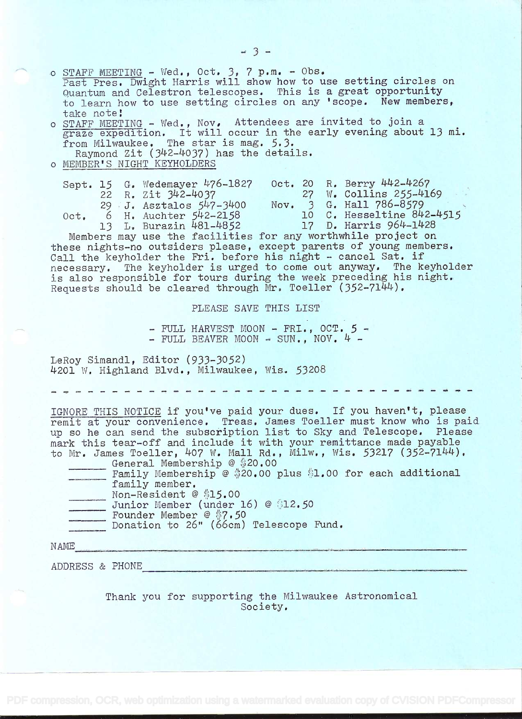o STAFF MEETING - Wed., Oct. 3, 7 p.m. - Obs. Past Pres, Dwight Harris will show how to use setting circles on Quantum and Celestron telescopes. This is a great opportunity to learn how to use setting circles on any 'scope. New members, take note! o STAFF MEETING - Wed., Nov, Attendees are invited to join a STAFF MEETING - Wed., NOV, Artendees are invited to join a principle of the early evening about 13 mi. from Milwaukee. The star is mag. 5.3. om milwadkee. The staff is mag. 3.5.<br>Raymond Zit (342-4037) has the details. o MEMBER'S NIGHT KEYHOLDERS Sept. 15 G. Wedemayer 476-1827 Oct. 20 R. Berry 442-4267<br>22 R. Zit 342-4037 27 W. Collins 255-4169  $22$  R.  $2it$   $342-4037$   $27$  W. Collins  $255-4169$  $29$  J. Asztalos  $547-3400$  Nov. 3 G. Hall  $786-8579$ Oct. 6 H. Auchter  $542-2158$  10 C. Hesseltine  $842-4515$ Not. 6 H. Auchter  $5\overline{4}$  2158 10 C. Hesseltine  $8\overline{4}$  2-1<br>13 L. Burazin  $481-4852$  17 D. Harris  $964-1428$ <br>Members may use the facilities for any worthwhile project on 13 L. Burazin 481-4852 17 D. Harris 964-1428 these nights-no outsiders please, except parents of young members. Call the keyholder the Fri. before his night - cancel Sat. if necessary. The keyholder is urged to come out anyway. The keyholder<br>is also responsible for tours during the week preceding his night.<br>Requests should be cleared through Mr. Toeller (352-7144). PLEASE SAVE THIS LIST - FULL HARVEST MOON - FRI., OCT.  $5$  -  $-$  FULL BEAVER MOON - SUN., NOV. 4 -LeRoy Simandl, Editor (933-3052)<br>4201 W. Highland Blvd., Milwaukee, Wis. 53208 IGNORE THIS NOTICE if you've paid your dues. If you haven't, please remit at your convenience. Treas. James Toeller must know who is paid up so he can send the subscription list to Sky and Telescope. Please up so he can send the subscription list to Sky and Telescope. Please<br>mark this tear-off and include it with your remittance made payable<br>to Mr. James Toeller, 407 W. Mall Rd., Milw., Wis. 53217 (352-7144).<br>General Membersh mark this tear-off and include it with your remittance made payable<br>to Mr. James Toeller, 407 W. Mall Rd., Milw., Wis. 53217 (352-7144). Non-Resident @ \$15.00 Junior Member (under 16) @ \$12.50 Founder Member @ \$7.50 Donation to 26" (66cm) Telescope Fund. N AME <u> 1980 - John Stein, Amerikaansk ferste fan it ferstjer fan de Fryske kommer</u> ADDRESS & PHONE

> Thank you for supporting the Milwaukee Astronomical Society.